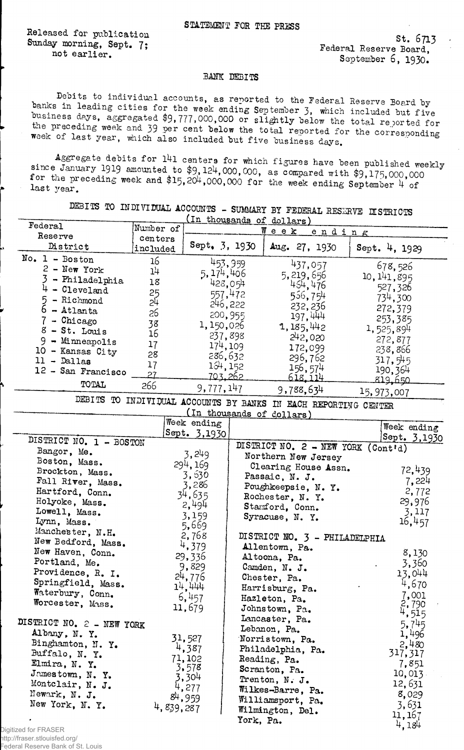Released for publication Sunday morning, Sept. 7; not earlier.

 $St. 6713$ Federal Reserve Board, September 6, 1930.

## BANK DEBITS

Debits to individual accounts, as reported to the Federal Reserve Board by banks in leading cities for the week ending September 3, which included but five business days, asgregated \$9,777,000,000 or slightly below the total reported for the preceding week and 39 per cent below the total reported for the corresponding week of last year, which also included but five business days.

Aggregate debits for 141 centers for which figures have been published weekly since January 1919 amounted to \$9,124,000,000, as compared with \$9,175,000,000 for the preceding week and \$15,204,000,000 for the week ending September 4 of last year.

DEBITS TO INDIVIDUAL ACCOUNTS - SUMMARY BY FEDERAL RESERVE DISTRICTS

| Federal                   |                       |               |           | (In thousands of dollars)                                       |        |                     |
|---------------------------|-----------------------|---------------|-----------|-----------------------------------------------------------------|--------|---------------------|
| Reserve                   | Number of             |               |           | $W$ e e $K$                                                     | ending |                     |
| District                  | centers<br>included   | Sept. 3, 1930 |           | Aug. 27, 1930                                                   |        | Sept. 4, 1929       |
| $No. 1 - Boston$          | 16                    |               | 453,959   |                                                                 |        |                     |
| $2$ - New York            | 14                    | 5,174,406     |           | 437,057                                                         |        | 678,526             |
| 3<br>- Philadelphia       | 18                    |               |           | 5, 219, 656                                                     |        | 10, 141, 895        |
| 4<br>- Cleveland          |                       |               | 428,054   | 454,476                                                         |        | 527,326             |
| 5<br>- Richmond           | 25<br>$2\overline{4}$ |               | 557,472   | 556,754                                                         |        | 734,300             |
| $6 - \text{Atlanta}$      |                       |               | 246, 222  | 232, 236                                                        |        | 272,379             |
| 7 - Chicago               | 26                    |               | 200,955   | 197, 444                                                        |        | 253,385             |
| $8$ - St. Louis           | 38                    | 1,150,026     |           | 1, 185, 442                                                     |        | 1,525,894           |
| $9 -$ Minneapolis         | 16                    |               | 237,898   | 242,020                                                         |        | 272,877             |
| 10 - Kansas City          | 17                    |               | 174, 109  | 172,099                                                         |        | 238,866             |
| $11 -$ Dallas             | 28                    |               | 286,632   | 296,762                                                         |        | 317,545             |
|                           | 17                    |               | 134, 152  | 156, 574                                                        |        | 190,364             |
| 12 - San Francisco        | 27                    |               | 703.262   | <u>618.114</u>                                                  |        | 819,650             |
| TOTAL                     | 266                   | 9,777,147     |           | 9,788,634                                                       |        |                     |
|                           |                       |               |           | DEBITS TO INDIVIDUAL ACCOUNTS BY BANKS IN EACH REPORTING CENTER |        | 15,973,007          |
|                           |                       |               |           | (In thousands of dollars)                                       |        |                     |
|                           |                       | Week ending   |           |                                                                 |        | Week ending         |
|                           |                       | Sept. 3,1930  |           |                                                                 |        | Sept. 3,1930        |
| DISTRICT NO. 1 - BOSTON   |                       |               |           | DISTRICT NO. 2 - NEW YORK (Cont'd)                              |        |                     |
| Bangor, Me.               |                       | 3,249         |           | Northern New Jersey                                             |        |                     |
| Boston, Mass.             |                       | 294, 169      |           | Clearing House Assn.                                            |        |                     |
| Brockton, Mass.           |                       | 3,630         |           | Passaic, N. J.                                                  |        | 72,439              |
| Fall River, Mass.         |                       | 3,286         |           | Poughkeepsie, N.Y.                                              |        | 7,224               |
| Hartford, Conn.           |                       | 34,635        |           | Rochester, N. Y.                                                |        | 2,772               |
| Holyoke, Mass.            |                       | 2,494         |           | Stamford, Conn.                                                 |        | 29,976              |
| Lowell, Mass.             |                       | 3,159         |           | Syracuse, N. Y.                                                 |        | 3,117               |
| Lynn, Mass.               |                       | 5,669         |           |                                                                 |        | 16,457              |
| Manchester, N.H.          |                       | 2,768         |           | DISTRICT NO. 3 - PHILADELPHIA                                   |        |                     |
| New Bedford, Mass.        |                       | 4,379         |           | Allentown, Pa.                                                  |        |                     |
| New Haven, Conn.          |                       | 29,336        |           |                                                                 |        | 8,130               |
| Portland, Me.             |                       | 9,829         |           | Altoona, Pa.                                                    |        | 3,360               |
| Providence, R. I.         |                       |               |           | Camden, N. J.                                                   |        | 13,044              |
| Springfield, Mass.        |                       | 24,776        |           | Chester, Pa.                                                    |        | 4,670               |
| Waterbury, Conn.          |                       | 14,444        |           | Harrisburg, Pa.                                                 |        |                     |
| Worcester, Mass.          |                       | 6,457         |           | Hazleton, Pa.                                                   |        | 7,001<br>2,790      |
|                           |                       | 11,679        |           | Johnstown, Pa.                                                  |        | 4,515               |
| DISTRICT NO. 2 - NEW YORK |                       |               |           | Lancaster, Pa.                                                  |        | 5,745               |
| Albany, N.Y.              |                       |               |           | Lebanon, Pa.                                                    |        | 1,496               |
| Binghamton, N. Y.         |                       | 31,527        |           | Norristown, Pa.                                                 |        |                     |
| Buffalo, N.Y.             |                       | 4,387         |           | Philadelphia, Pa.                                               |        | $2,480$<br>317, 317 |
| Elmira, N.Y.              |                       | 71,102        |           | Reading, Pa.                                                    |        | 7,851               |
| Jamestown, N. Y.          |                       | 3,578         |           | Scranton, Pa.                                                   |        | 10,013              |
| Montclair, N. J.          |                       | 3,304         |           | Trenton, N. J.                                                  |        | 12,631              |
| Newark, N. J.             |                       | 4,277         |           | Wilkes-Barre, Pa.                                               |        |                     |
|                           |                       | 84,959        |           | Williamsport, Pa.                                               |        | 8,029               |
| New York, N. Y.           | 4,839,287             |               |           | Wilmington, Del.                                                |        | 3,631               |
|                           |                       |               | York, Pa. |                                                                 |        | 11, 167             |
|                           |                       |               |           |                                                                 |        | 4,184               |

Digitized for FRASER http://fraser.stlouisfed.org/ Federal Reserve Bank of St. Louis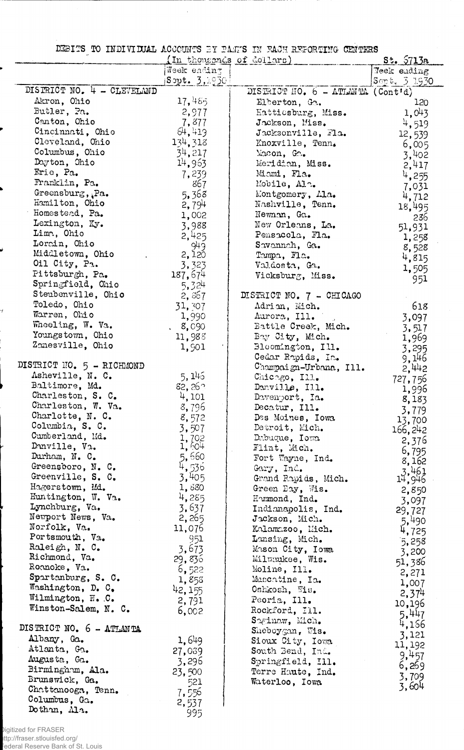DEBITS TO INDIVIDUAL ACCOUNTS BY PATES IN RACH REPORTING CENTERS

 $\mathbb{R}^2$ 

|                                    |                      | In thousands of dollars)                      | <u>St. 5713a</u>   |
|------------------------------------|----------------------|-----------------------------------------------|--------------------|
|                                    | Week ending          |                                               | <b>Teek ending</b> |
|                                    | ${\tt Sopt.}$ 3,1930 |                                               | Sept. 3.1930       |
| DISTRICT NO. 4 - CLEVELAND         |                      | DISTRICT HO. $6 - \text{ATLM}(\text{Contid})$ |                    |
| Akron, Ohio                        | 17,485               | Elberton, Ga.                                 | 120                |
| Butler, Pa.                        | 2,977                | Hattiesburg, Miss.                            | 1,043              |
| Canton, Ohio                       | 7,877                | Jackson, Miss.                                | 4,519              |
| Cincinnati, Ohio                   | 64,419               | Jacksonville, Fla.                            | 12,539             |
| Cleveland, Ohio                    | 134,318              | Knoxville, Tenn.                              | 6,005              |
| Columbus, Ohio                     | 34,217               | Macon, Ga.                                    | 3,402              |
| Dayton, Ohio                       | 14,963               | Meridian, Miss.                               | 2,417              |
| Erie, Pa.                          | 7,239                | Miami, Fla.                                   | 4,255              |
| Franklin, Pa.                      | 867                  | Mobile, Ala.                                  | 7,031              |
| Greensburg, Pa.                    | 5,368                | Montgomery, Ala.                              | 4,712              |
| Hamilton, Ohio                     | 2,794                | Nashville, Tenn.                              | 18,495             |
| Homestead, Pa.                     | 1,002                | Newman, Ga.                                   | 236                |
| Lexington, Ky.                     | 3,988                | New Orleans, La.                              | 51,931             |
| Lima, Ohio                         | 2,425                | Pensacola, Fla.                               | 1,258              |
| Lorain, Ohio                       | 949                  | Savannah, Ga.                                 | 8,528              |
| Middletown, Ohio<br>Oil City, Pa.  | 2,120                | Tampa, Fla.                                   | 4,815              |
| Pittsburgh, Pa.                    | 3,323                | Valdosta, Ga.                                 | 1,505              |
| Springfield, Ohio                  | 187,674              | Vicksburg, Miss.                              | 951                |
| Steubenville, Ohio                 | 5,324                |                                               |                    |
| Toledo, Ohio                       | 2,367                | DISTRICT NO. 7 - CHICAGO                      |                    |
| Warren, Ohio                       | 31,307               | Adrian, Mich.                                 | 618                |
| Wheeling, W. Va.                   | 1,990                | Aurora, Ill.                                  | 3,097              |
| Youngstown, Ohio                   | 8,090<br>11,985      | Battle Creek, Mich.<br>Bay City, Mich.        | 3,517              |
| Zanesville, Ohio                   | 1,901                | Bloomington, Ill.                             | 1,969              |
|                                    |                      | Cedar Rapids, Ia.                             | 3,295              |
| DISTRICT NO. 5 - RICHMOND          |                      | Champaign-Urbana, Ill.                        | 9,146              |
| Asheville, N. C.                   | 5,145                | Chicago, Ill.                                 | 2,442              |
| Baltimore, Md.                     | $82,26^{\circ}$      | Danville, Ill.                                | 727,756            |
| Charleston, S. C.                  | 4,101                | Davenport, Ia.                                | 1,996<br>8,183     |
| Charleston, W. Va.                 | 8,796                | Decatur, Ill.                                 | 3,779              |
| Charlotte, N. C.                   | 8,572                | Des Moines, Iowa                              | 13,700             |
| Columbia, S. C.                    | 3,507                | Detroit, Mich.                                | 166,242            |
| Cumberland, Md.                    | 1,702                | Dabuque, Iowa                                 | 2,376              |
| Danville, Va.                      | 1,604                | Flint, Mich.                                  | 6,795              |
| Durham, N. C.                      | 5,660<br>4,536       | Fort Wayne, Ind.                              | 8,162              |
| Greensboro, N. C.                  |                      | Gary, Ind.                                    |                    |
| Greenville, S. C.                  | 3,405                | Grand Rapids, Mich.                           | $3,461$<br>14,946  |
| Hagerstown, Md.                    | 1,880                | Green Bay, Wis.                               | 2,850              |
| Huntington, W. Va.                 | 4,285                | Hummond, Ind.                                 | 3,097              |
| Lynchburg, Va.                     | 3.637                | Indianapolis, Ind.                            | 29,727             |
| Newport News, Va.                  | 2,265                | Jackson, Mich.                                | 5,490              |
| Norfolk, Va.                       | 11,076               | Kalamazoo, Mich.                              | 4,725              |
| Portsmouth, Va.                    | 951                  | Lansing, Mich.                                | 5,258              |
| Raleigh, N. C.                     | 3,673                | Mason City, Iowa                              | 3,200              |
| Richmond, Va.                      | 29,836               | Milwaukee, Wis.                               | 51,386             |
| Roanoke, Va.<br>Spartanburg, S. C. | 6,522                | Moline, Ill.                                  | 2,271              |
| Washington, D. C.                  | 1,858                | Muscatine, Ia.                                | 1,007              |
| Wilmington, N.C.                   | 42,155               | Oshkosh, Wis.                                 | 2,374              |
| Winston-Salem, N. C.               | 2,791                | Peoria, Ill.                                  | 10,196             |
|                                    | 6,002                | Rockford, Ill.                                | 5,447              |
| DISTRICT NO. 6 - ATLANTA           |                      | Saginaw, Mich.                                | 4,166              |
| Albany, Ga.                        | 1,649                | Sheboygan, Wis.                               | 3,121              |
| Atlanta, Ga.                       |                      | Sioux City, Iowa                              | 11, 192            |
| Augusta, Ga.                       | 27,039               | South Bend, Ind.                              | 9,457              |
| Birmingham, Ala.                   | 3,296                | Springfield, Ill.                             | 6,269              |
| Brunswick, Ga.                     | 23,500               | Terre Haute, Ind.                             | 3,709              |
| Chattanooga, Tenn.                 | 521                  | Waterloo, Iowa                                | 3,604              |
| Columbus, Ga.                      | 7,556<br>2,537       |                                               |                    |
| Dothan, Ma.                        | 995                  |                                               |                    |
|                                    |                      |                                               |                    |

Digitized for FRASER<br>http://fraser.stlouisfed.org/<br><sup>:</sup>ederal Reserve Bank of St. Louis

J

4